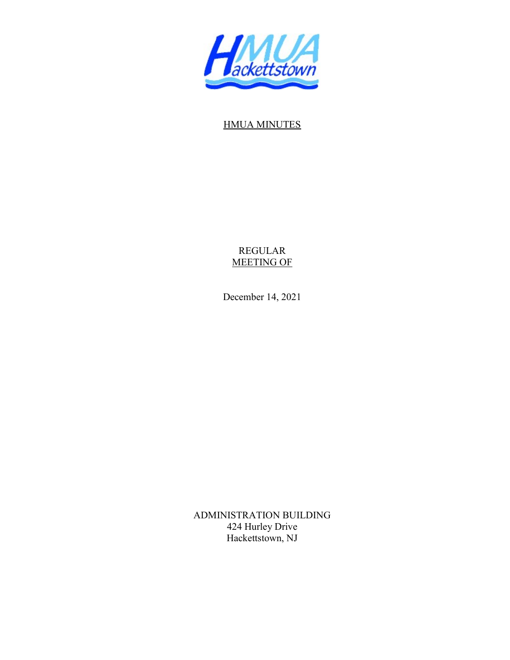

## HMUA MINUTES

REGULAR MEETING OF

December 14, 2021

ADMINISTRATION BUILDING 424 Hurley Drive Hackettstown, NJ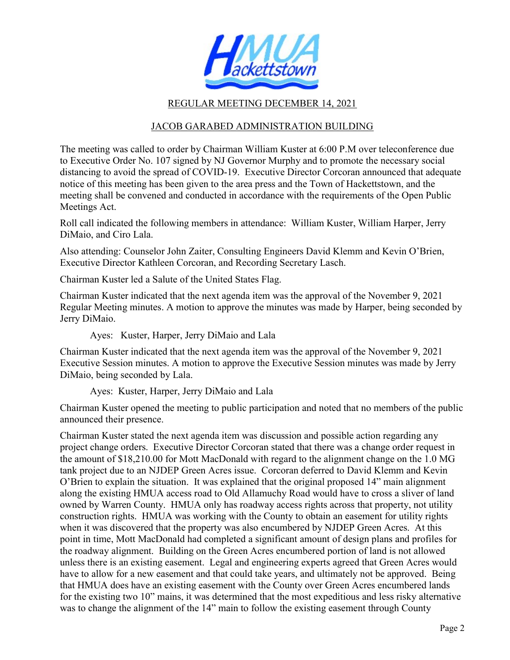

## REGULAR MEETING DECEMBER 14, 2021

## JACOB GARABED ADMINISTRATION BUILDING

The meeting was called to order by Chairman William Kuster at 6:00 P.M over teleconference due to Executive Order No. 107 signed by NJ Governor Murphy and to promote the necessary social distancing to avoid the spread of COVID-19. Executive Director Corcoran announced that adequate notice of this meeting has been given to the area press and the Town of Hackettstown, and the meeting shall be convened and conducted in accordance with the requirements of the Open Public Meetings Act.

Roll call indicated the following members in attendance: William Kuster, William Harper, Jerry DiMaio, and Ciro Lala.

Also attending: Counselor John Zaiter, Consulting Engineers David Klemm and Kevin O'Brien, Executive Director Kathleen Corcoran, and Recording Secretary Lasch.

Chairman Kuster led a Salute of the United States Flag.

Chairman Kuster indicated that the next agenda item was the approval of the November 9, 2021 Regular Meeting minutes. A motion to approve the minutes was made by Harper, being seconded by Jerry DiMaio.

Ayes: Kuster, Harper, Jerry DiMaio and Lala

Chairman Kuster indicated that the next agenda item was the approval of the November 9, 2021 Executive Session minutes. A motion to approve the Executive Session minutes was made by Jerry DiMaio, being seconded by Lala.

Ayes: Kuster, Harper, Jerry DiMaio and Lala

Chairman Kuster opened the meeting to public participation and noted that no members of the public announced their presence.

Chairman Kuster stated the next agenda item was discussion and possible action regarding any project change orders. Executive Director Corcoran stated that there was a change order request in the amount of \$18,210.00 for Mott MacDonald with regard to the alignment change on the 1.0 MG tank project due to an NJDEP Green Acres issue. Corcoran deferred to David Klemm and Kevin O'Brien to explain the situation. It was explained that the original proposed 14" main alignment along the existing HMUA access road to Old Allamuchy Road would have to cross a sliver of land owned by Warren County. HMUA only has roadway access rights across that property, not utility construction rights. HMUA was working with the County to obtain an easement for utility rights when it was discovered that the property was also encumbered by NJDEP Green Acres. At this point in time, Mott MacDonald had completed a significant amount of design plans and profiles for the roadway alignment. Building on the Green Acres encumbered portion of land is not allowed unless there is an existing easement. Legal and engineering experts agreed that Green Acres would have to allow for a new easement and that could take years, and ultimately not be approved. Being that HMUA does have an existing easement with the County over Green Acres encumbered lands for the existing two 10" mains, it was determined that the most expeditious and less risky alternative was to change the alignment of the 14" main to follow the existing easement through County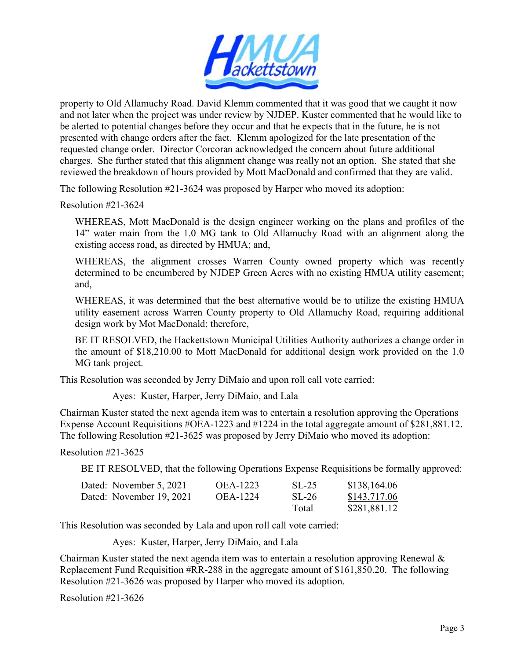

property to Old Allamuchy Road. David Klemm commented that it was good that we caught it now and not later when the project was under review by NJDEP. Kuster commented that he would like to be alerted to potential changes before they occur and that he expects that in the future, he is not presented with change orders after the fact. Klemm apologized for the late presentation of the requested change order. Director Corcoran acknowledged the concern about future additional charges. She further stated that this alignment change was really not an option. She stated that she reviewed the breakdown of hours provided by Mott MacDonald and confirmed that they are valid.

The following Resolution #21-3624 was proposed by Harper who moved its adoption:

Resolution #21-3624

WHEREAS, Mott MacDonald is the design engineer working on the plans and profiles of the 14" water main from the 1.0 MG tank to Old Allamuchy Road with an alignment along the existing access road, as directed by HMUA; and,

WHEREAS, the alignment crosses Warren County owned property which was recently determined to be encumbered by NJDEP Green Acres with no existing HMUA utility easement; and,

WHEREAS, it was determined that the best alternative would be to utilize the existing HMUA utility easement across Warren County property to Old Allamuchy Road, requiring additional design work by Mot MacDonald; therefore,

BE IT RESOLVED, the Hackettstown Municipal Utilities Authority authorizes a change order in the amount of \$18,210.00 to Mott MacDonald for additional design work provided on the 1.0 MG tank project.

This Resolution was seconded by Jerry DiMaio and upon roll call vote carried:

Ayes: Kuster, Harper, Jerry DiMaio, and Lala

Chairman Kuster stated the next agenda item was to entertain a resolution approving the Operations Expense Account Requisitions #OEA-1223 and #1224 in the total aggregate amount of \$281,881.12. The following Resolution #21-3625 was proposed by Jerry DiMaio who moved its adoption:

Resolution #21-3625

BE IT RESOLVED, that the following Operations Expense Requisitions be formally approved:

| Dated: November 5, 2021  | OEA-1223 | $SL-25$ | \$138,164.06 |
|--------------------------|----------|---------|--------------|
| Dated: November 19, 2021 | OEA-1224 | $SL-26$ | \$143,717.06 |
|                          |          | Total   | \$281,881.12 |

This Resolution was seconded by Lala and upon roll call vote carried:

Ayes: Kuster, Harper, Jerry DiMaio, and Lala

Chairman Kuster stated the next agenda item was to entertain a resolution approving Renewal & Replacement Fund Requisition #RR-288 in the aggregate amount of \$161,850.20. The following Resolution #21-3626 was proposed by Harper who moved its adoption.

Resolution #21-3626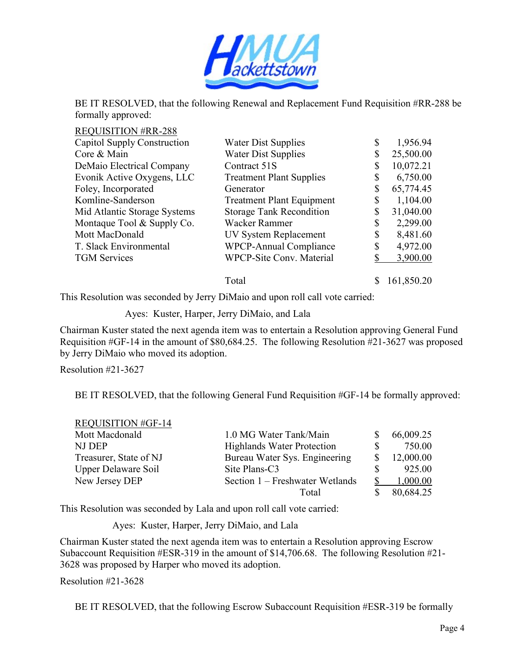

BE IT RESOLVED, that the following Renewal and Replacement Fund Requisition #RR-288 be formally approved:

| <b>REQUISITION #RR-288</b>                         |                                  |                 |
|----------------------------------------------------|----------------------------------|-----------------|
| Capitol Supply Construction<br>Water Dist Supplies |                                  | \$<br>1,956.94  |
| Core & Main                                        | <b>Water Dist Supplies</b>       | 25,500.00       |
| DeMaio Electrical Company                          | Contract 51S                     | 10,072.21       |
| Evonik Active Oxygens, LLC                         | <b>Treatment Plant Supplies</b>  | 6,750.00        |
| Foley, Incorporated                                | Generator                        | \$<br>65,774.45 |
| Komline-Sanderson                                  | <b>Treatment Plant Equipment</b> | \$<br>1,104.00  |
| Mid Atlantic Storage Systems                       | <b>Storage Tank Recondition</b>  | 31,040.00       |
| Montaque Tool & Supply Co.                         | Wacker Rammer                    | \$<br>2,299.00  |
| Mott MacDonald                                     | UV System Replacement            | 8,481.60        |
| T. Slack Environmental                             | <b>WPCP-Annual Compliance</b>    | \$<br>4,972.00  |
| <b>TGM</b> Services                                | <b>WPCP-Site Conv. Material</b>  | 3,900.00        |
|                                                    | Total                            | 161,850.20      |

This Resolution was seconded by Jerry DiMaio and upon roll call vote carried:

Ayes: Kuster, Harper, Jerry DiMaio, and Lala

Chairman Kuster stated the next agenda item was to entertain a Resolution approving General Fund Requisition #GF-14 in the amount of \$80,684.25. The following Resolution #21-3627 was proposed by Jerry DiMaio who moved its adoption.

Resolution #21-3627

BE IT RESOLVED, that the following General Fund Requisition #GF-14 be formally approved:

| <b>REQUISITION #GF-14</b> |                                   |           |
|---------------------------|-----------------------------------|-----------|
| Mott Macdonald            | 1.0 MG Water Tank/Main            | 66,009.25 |
| NJ DEP                    | <b>Highlands Water Protection</b> | 750.00    |
| Treasurer, State of NJ    | Bureau Water Sys. Engineering     | 12,000.00 |
| Upper Delaware Soil       | Site Plans-C3                     | 925.00    |
| New Jersey DEP            | Section 1 – Freshwater Wetlands   | 1,000.00  |
|                           | Total                             | 80,684.25 |

This Resolution was seconded by Lala and upon roll call vote carried:

Ayes: Kuster, Harper, Jerry DiMaio, and Lala

Chairman Kuster stated the next agenda item was to entertain a Resolution approving Escrow Subaccount Requisition #ESR-319 in the amount of \$14,706.68. The following Resolution #21- 3628 was proposed by Harper who moved its adoption.

Resolution #21-3628

BE IT RESOLVED, that the following Escrow Subaccount Requisition #ESR-319 be formally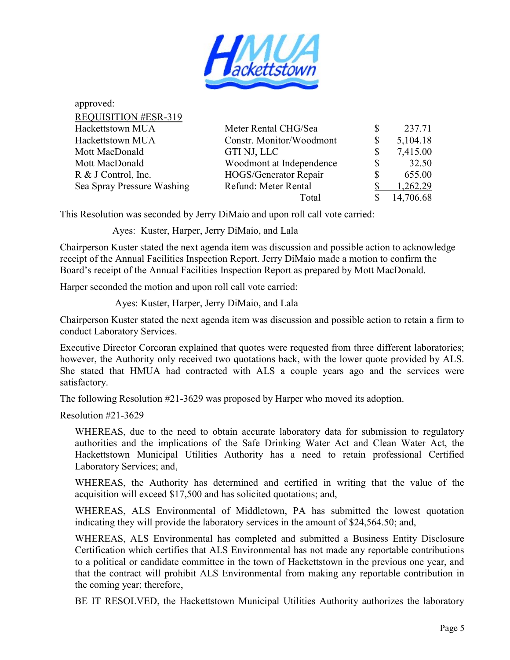

| approved:                   |                          |                |
|-----------------------------|--------------------------|----------------|
| <b>REQUISITION #ESR-319</b> |                          |                |
| Hackettstown MUA            | Meter Rental CHG/Sea     | 237.71         |
| Hackettstown MUA            | Constr. Monitor/Woodmont | \$<br>5,104.18 |
| Mott MacDonald              | GTI NJ, LLC              | \$<br>7,415.00 |
| Mott MacDonald              | Woodmont at Independence | \$<br>32.50    |
| R & J Control, Inc.         | HOGS/Generator Repair    | 655.00         |
| Sea Spray Pressure Washing  | Refund: Meter Rental     | 1,262.29       |
|                             | Total                    | 14,706.68      |

This Resolution was seconded by Jerry DiMaio and upon roll call vote carried:

Ayes: Kuster, Harper, Jerry DiMaio, and Lala

Chairperson Kuster stated the next agenda item was discussion and possible action to acknowledge receipt of the Annual Facilities Inspection Report. Jerry DiMaio made a motion to confirm the Board's receipt of the Annual Facilities Inspection Report as prepared by Mott MacDonald.

Harper seconded the motion and upon roll call vote carried:

Ayes: Kuster, Harper, Jerry DiMaio, and Lala

Chairperson Kuster stated the next agenda item was discussion and possible action to retain a firm to conduct Laboratory Services.

Executive Director Corcoran explained that quotes were requested from three different laboratories; however, the Authority only received two quotations back, with the lower quote provided by ALS. She stated that HMUA had contracted with ALS a couple years ago and the services were satisfactory.

The following Resolution #21-3629 was proposed by Harper who moved its adoption.

Resolution #21-3629

WHEREAS, due to the need to obtain accurate laboratory data for submission to regulatory authorities and the implications of the Safe Drinking Water Act and Clean Water Act, the Hackettstown Municipal Utilities Authority has a need to retain professional Certified Laboratory Services; and,

WHEREAS, the Authority has determined and certified in writing that the value of the acquisition will exceed \$17,500 and has solicited quotations; and,

WHEREAS, ALS Environmental of Middletown, PA has submitted the lowest quotation indicating they will provide the laboratory services in the amount of \$24,564.50; and,

WHEREAS, ALS Environmental has completed and submitted a Business Entity Disclosure Certification which certifies that ALS Environmental has not made any reportable contributions to a political or candidate committee in the town of Hackettstown in the previous one year, and that the contract will prohibit ALS Environmental from making any reportable contribution in the coming year; therefore,

BE IT RESOLVED, the Hackettstown Municipal Utilities Authority authorizes the laboratory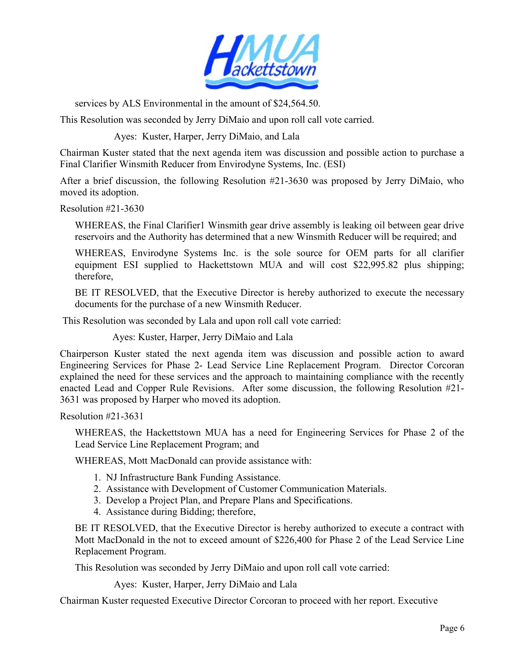

services by ALS Environmental in the amount of \$24,564.50.

This Resolution was seconded by Jerry DiMaio and upon roll call vote carried.

Ayes: Kuster, Harper, Jerry DiMaio, and Lala

Chairman Kuster stated that the next agenda item was discussion and possible action to purchase a Final Clarifier Winsmith Reducer from Envirodyne Systems, Inc. (ESI)

After a brief discussion, the following Resolution #21-3630 was proposed by Jerry DiMaio, who moved its adoption.

Resolution #21-3630

 WHEREAS, the Final Clarifier1 Winsmith gear drive assembly is leaking oil between gear drive reservoirs and the Authority has determined that a new Winsmith Reducer will be required; and

 WHEREAS, Envirodyne Systems Inc. is the sole source for OEM parts for all clarifier equipment ESI supplied to Hackettstown MUA and will cost \$22,995.82 plus shipping; therefore,

 BE IT RESOLVED, that the Executive Director is hereby authorized to execute the necessary documents for the purchase of a new Winsmith Reducer.

This Resolution was seconded by Lala and upon roll call vote carried:

Ayes: Kuster, Harper, Jerry DiMaio and Lala

Chairperson Kuster stated the next agenda item was discussion and possible action to award Engineering Services for Phase 2- Lead Service Line Replacement Program. Director Corcoran explained the need for these services and the approach to maintaining compliance with the recently enacted Lead and Copper Rule Revisions. After some discussion, the following Resolution #21- 3631 was proposed by Harper who moved its adoption.

Resolution #21-3631

WHEREAS, the Hackettstown MUA has a need for Engineering Services for Phase 2 of the Lead Service Line Replacement Program; and

WHEREAS, Mott MacDonald can provide assistance with:

- 1. NJ Infrastructure Bank Funding Assistance.
- 2. Assistance with Development of Customer Communication Materials.
- 3. Develop a Project Plan, and Prepare Plans and Specifications.
- 4. Assistance during Bidding; therefore,

BE IT RESOLVED, that the Executive Director is hereby authorized to execute a contract with Mott MacDonald in the not to exceed amount of \$226,400 for Phase 2 of the Lead Service Line Replacement Program.

This Resolution was seconded by Jerry DiMaio and upon roll call vote carried:

Ayes: Kuster, Harper, Jerry DiMaio and Lala

Chairman Kuster requested Executive Director Corcoran to proceed with her report. Executive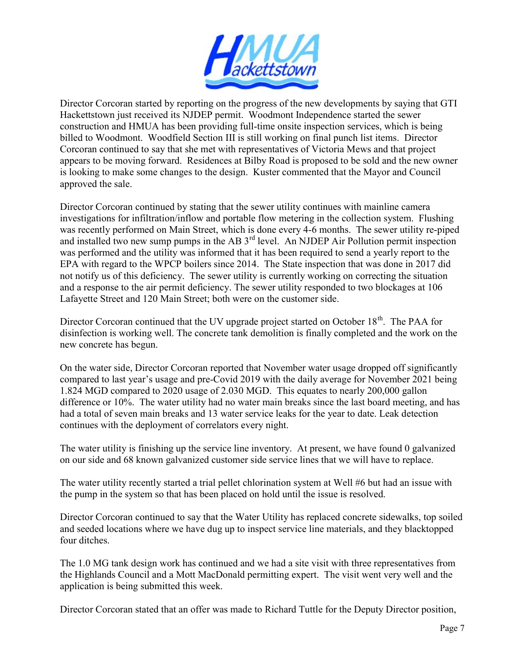

Director Corcoran started by reporting on the progress of the new developments by saying that GTI Hackettstown just received its NJDEP permit. Woodmont Independence started the sewer construction and HMUA has been providing full-time onsite inspection services, which is being billed to Woodmont. Woodfield Section III is still working on final punch list items. Director Corcoran continued to say that she met with representatives of Victoria Mews and that project appears to be moving forward. Residences at Bilby Road is proposed to be sold and the new owner is looking to make some changes to the design. Kuster commented that the Mayor and Council approved the sale.

Director Corcoran continued by stating that the sewer utility continues with mainline camera investigations for infiltration/inflow and portable flow metering in the collection system. Flushing was recently performed on Main Street, which is done every 4-6 months. The sewer utility re-piped and installed two new sump pumps in the AB  $3<sup>rd</sup>$  level. An NJDEP Air Pollution permit inspection was performed and the utility was informed that it has been required to send a yearly report to the EPA with regard to the WPCP boilers since 2014. The State inspection that was done in 2017 did not notify us of this deficiency. The sewer utility is currently working on correcting the situation and a response to the air permit deficiency. The sewer utility responded to two blockages at 106 Lafayette Street and 120 Main Street; both were on the customer side.

Director Corcoran continued that the UV upgrade project started on October 18<sup>th</sup>. The PAA for disinfection is working well. The concrete tank demolition is finally completed and the work on the new concrete has begun.

On the water side, Director Corcoran reported that November water usage dropped off significantly compared to last year's usage and pre-Covid 2019 with the daily average for November 2021 being 1.824 MGD compared to 2020 usage of 2.030 MGD. This equates to nearly 200,000 gallon difference or 10%. The water utility had no water main breaks since the last board meeting, and has had a total of seven main breaks and 13 water service leaks for the year to date. Leak detection continues with the deployment of correlators every night.

The water utility is finishing up the service line inventory. At present, we have found 0 galvanized on our side and 68 known galvanized customer side service lines that we will have to replace.

The water utility recently started a trial pellet chlorination system at Well #6 but had an issue with the pump in the system so that has been placed on hold until the issue is resolved.

Director Corcoran continued to say that the Water Utility has replaced concrete sidewalks, top soiled and seeded locations where we have dug up to inspect service line materials, and they blacktopped four ditches.

The 1.0 MG tank design work has continued and we had a site visit with three representatives from the Highlands Council and a Mott MacDonald permitting expert. The visit went very well and the application is being submitted this week.

Director Corcoran stated that an offer was made to Richard Tuttle for the Deputy Director position,